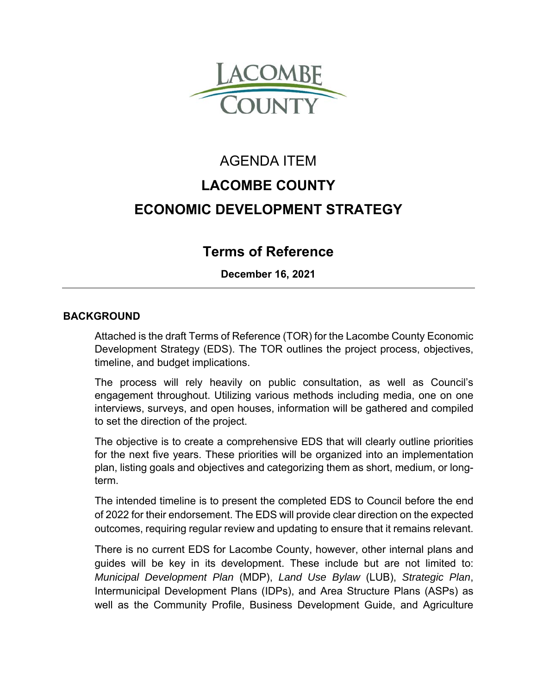

# AGENDA ITEM **LACOMBE COUNTY ECONOMIC DEVELOPMENT STRATEGY**

## **Terms of Reference**

**December 16, 2021** 

### **BACKGROUND**

Attached is the draft Terms of Reference (TOR) for the Lacombe County Economic Development Strategy (EDS). The TOR outlines the project process, objectives, timeline, and budget implications.

The process will rely heavily on public consultation, as well as Council's engagement throughout. Utilizing various methods including media, one on one interviews, surveys, and open houses, information will be gathered and compiled to set the direction of the project.

The objective is to create a comprehensive EDS that will clearly outline priorities for the next five years. These priorities will be organized into an implementation plan, listing goals and objectives and categorizing them as short, medium, or longterm.

The intended timeline is to present the completed EDS to Council before the end of 2022 for their endorsement. The EDS will provide clear direction on the expected outcomes, requiring regular review and updating to ensure that it remains relevant.

There is no current EDS for Lacombe County, however, other internal plans and guides will be key in its development. These include but are not limited to: *Municipal Development Plan* (MDP), *Land Use Bylaw* (LUB), *Strategic Plan*, Intermunicipal Development Plans (IDPs), and Area Structure Plans (ASPs) as well as the Community Profile, Business Development Guide, and Agriculture